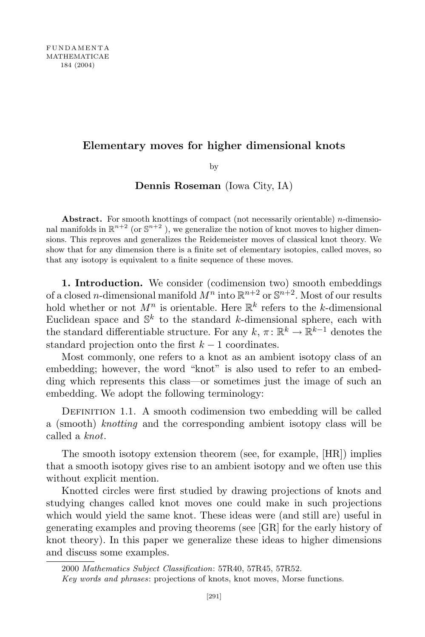# Elementary moves for higher dimensional knots

by

Dennis Roseman (Iowa City, IA)

Abstract. For smooth knottings of compact (not necessarily orientable)  $n$ -dimensional manifolds in  $\mathbb{R}^{n+2}$  (or  $\mathbb{S}^{n+2}$ ), we generalize the notion of knot moves to higher dimensions. This reproves and generalizes the Reidemeister moves of classical knot theory. We show that for any dimension there is a finite set of elementary isotopies, called moves, so that any isotopy is equivalent to a finite sequence of these moves.

1. Introduction. We consider (codimension two) smooth embeddings of a closed *n*-dimensional manifold  $M^n$  into  $\mathbb{R}^{n+2}$  or  $\mathbb{S}^{n+2}$ . Most of our results hold whether or not  $M^n$  is orientable. Here  $\mathbb{R}^k$  refers to the k-dimensional Euclidean space and  $\mathbb{S}^k$  to the standard k-dimensional sphere, each with the standard differentiable structure. For any  $k, \pi \colon \mathbb{R}^k \to \mathbb{R}^{k-1}$  denotes the standard projection onto the first  $k - 1$  coordinates.

Most commonly, one refers to a knot as an ambient isotopy class of an embedding; however, the word "knot" is also used to refer to an embedding which represents this class—or sometimes just the image of such an embedding. We adopt the following terminology:

DEFINITION 1.1. A smooth codimension two embedding will be called a (smooth) knotting and the corresponding ambient isotopy class will be called a knot.

The smooth isotopy extension theorem (see, for example, [HR]) implies that a smooth isotopy gives rise to an ambient isotopy and we often use this without explicit mention.

Knotted circles were first studied by drawing projections of knots and studying changes called knot moves one could make in such projections which would yield the same knot. These ideas were (and still are) useful in generating examples and proving theorems (see [GR] for the early history of knot theory). In this paper we generalize these ideas to higher dimensions and discuss some examples.

2000 Mathematics Subject Classification: 57R40, 57R45, 57R52.

Key words and phrases: projections of knots, knot moves, Morse functions.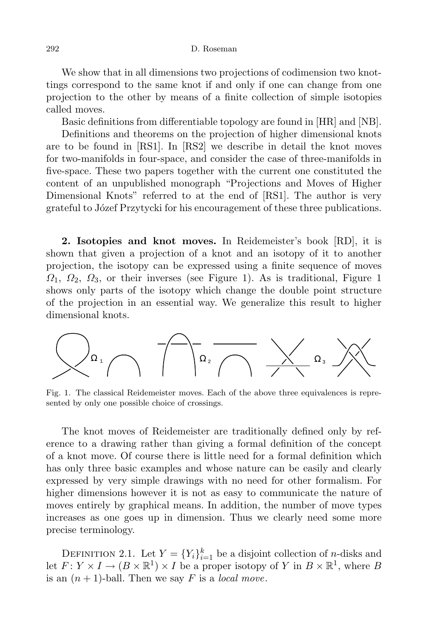We show that in all dimensions two projections of codimension two knottings correspond to the same knot if and only if one can change from one projection to the other by means of a finite collection of simple isotopies called moves.

Basic definitions from differentiable topology are found in [HR] and [NB].

Definitions and theorems on the projection of higher dimensional knots are to be found in [RS1]. In [RS2] we describe in detail the knot moves for two-manifolds in four-space, and consider the case of three-manifolds in five-space. These two papers together with the current one constituted the content of an unpublished monograph "Projections and Moves of Higher Dimensional Knots" referred to at the end of [RS1]. The author is very grateful to Józef Przytycki for his encouragement of these three publications.

2. Isotopies and knot moves. In Reidemeister's book [RD], it is shown that given a projection of a knot and an isotopy of it to another projection, the isotopy can be expressed using a finite sequence of moves  $\Omega_1$ ,  $\Omega_2$ ,  $\Omega_3$ , or their inverses (see Figure 1). As is traditional, Figure 1 shows only parts of the isotopy which change the double point structure of the projection in an essential way. We generalize this result to higher dimensional knots.



Fig. 1. The classical Reidemeister moves. Each of the above three equivalences is represented by only one possible choice of crossings.

The knot moves of Reidemeister are traditionally defined only by reference to a drawing rather than giving a formal definition of the concept of a knot move. Of course there is little need for a formal definition which has only three basic examples and whose nature can be easily and clearly expressed by very simple drawings with no need for other formalism. For higher dimensions however it is not as easy to communicate the nature of moves entirely by graphical means. In addition, the number of move types increases as one goes up in dimension. Thus we clearly need some more precise terminology.

DEFINITION 2.1. Let  $Y = \{Y_i\}_{i=1}^k$  be a disjoint collection of *n*-disks and let  $F: Y \times I \to (B \times \mathbb{R}^1) \times I$  be a proper isotopy of Y in  $B \times \mathbb{R}^1$ , where B is an  $(n + 1)$ -ball. Then we say F is a *local move*.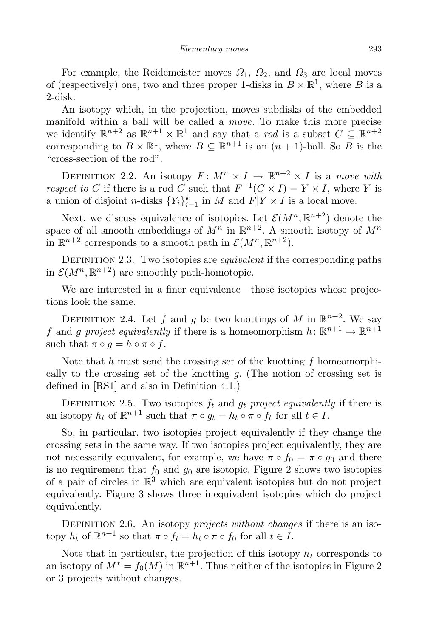For example, the Reidemeister moves  $\Omega_1$ ,  $\Omega_2$ , and  $\Omega_3$  are local moves of (respectively) one, two and three proper 1-disks in  $B \times \mathbb{R}^1$ , where B is a 2-disk.

An isotopy which, in the projection, moves subdisks of the embedded manifold within a ball will be called a move. To make this more precise we identify  $\mathbb{R}^{n+2}$  as  $\mathbb{R}^{n+1} \times \mathbb{R}^1$  and say that a rod is a subset  $C \subseteq \mathbb{R}^{n+2}$ corresponding to  $B \times \mathbb{R}^1$ , where  $B \subseteq \mathbb{R}^{n+1}$  is an  $(n+1)$ -ball. So B is the "cross-section of the rod".

DEFINITION 2.2. An isotopy  $F: M^n \times I \to \mathbb{R}^{n+2} \times I$  is a move with respect to C if there is a rod C such that  $F^{-1}(C \times I) = Y \times I$ , where Y is a union of disjoint *n*-disks  $\{Y_i\}_{i=1}^k$  in *M* and  $F|Y \times I$  is a local move.

Next, we discuss equivalence of isotopies. Let  $\mathcal{E}(M^n,\mathbb{R}^{n+2})$  denote the space of all smooth embeddings of  $M^n$  in  $\mathbb{R}^{n+2}$ . A smooth isotopy of  $M^n$ in  $\mathbb{R}^{n+2}$  corresponds to a smooth path in  $\mathcal{E}(M^n, \mathbb{R}^{n+2})$ .

DEFINITION 2.3. Two isotopies are *equivalent* if the corresponding paths in  $\mathcal{E}(M^n, \mathbb{R}^{n+2})$  are smoothly path-homotopic.

We are interested in a finer equivalence—those isotopies whose projections look the same.

DEFINITION 2.4. Let f and g be two knottings of M in  $\mathbb{R}^{n+2}$ . We say f and g project equivalently if there is a homeomorphism  $h: \mathbb{R}^{n+1} \to \mathbb{R}^{n+1}$ such that  $\pi \circ g = h \circ \pi \circ f$ .

Note that  $h$  must send the crossing set of the knotting  $f$  homeomorphically to the crossing set of the knotting  $q$ . (The notion of crossing set is defined in [RS1] and also in Definition 4.1.)

DEFINITION 2.5. Two isotopies  $f_t$  and  $g_t$  project equivalently if there is an isotopy  $h_t$  of  $\mathbb{R}^{n+1}$  such that  $\pi \circ g_t = h_t \circ \pi \circ f_t$  for all  $t \in I$ .

So, in particular, two isotopies project equivalently if they change the crossing sets in the same way. If two isotopies project equivalently, they are not necessarily equivalent, for example, we have  $\pi \circ f_0 = \pi \circ g_0$  and there is no requirement that  $f_0$  and  $g_0$  are isotopic. Figure 2 shows two isotopies of a pair of circles in  $\mathbb{R}^3$  which are equivalent isotopies but do not project equivalently. Figure 3 shows three inequivalent isotopies which do project equivalently.

DEFINITION 2.6. An isotopy *projects without changes* if there is an isotopy  $h_t$  of  $\mathbb{R}^{n+1}$  so that  $\pi \circ f_t = h_t \circ \pi \circ f_0$  for all  $t \in I$ .

Note that in particular, the projection of this isotopy  $h_t$  corresponds to an isotopy of  $M^* = f_0(M)$  in  $\mathbb{R}^{n+1}$ . Thus neither of the isotopies in Figure 2 or 3 projects without changes.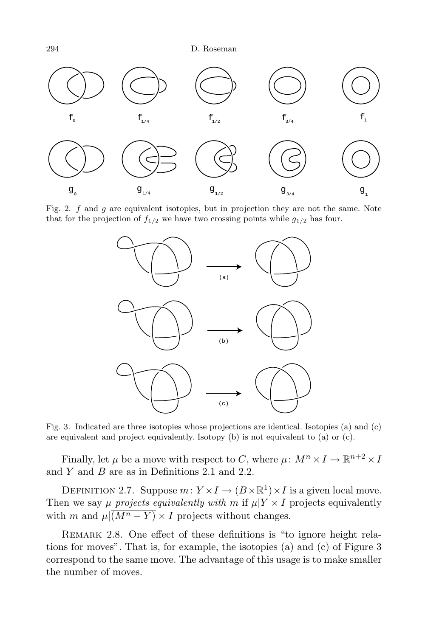

Fig. 2.  $f$  and  $g$  are equivalent isotopies, but in projection they are not the same. Note that for the projection of  $f_{1/2}$  we have two crossing points while  $g_{1/2}$  has four.



Fig. 3. Indicated are three isotopies whose projections are identical. Isotopies (a) and (c) are equivalent and project equivalently. Isotopy (b) is not equivalent to (a) or (c).

Finally, let  $\mu$  be a move with respect to C, where  $\mu \colon M^n \times I \to \mathbb{R}^{n+2} \times I$ and  $Y$  and  $B$  are as in Definitions 2.1 and 2.2.

DEFINITION 2.7. Suppose  $m: Y \times I \to (B \times \mathbb{R}^1) \times I$  is a given local move. Then we say  $\mu$  projects equivalently with m if  $\mu|Y \times I$  projects equivalently with m and  $\mu\sqrt{(M^{n}-Y)} \times I$  projects without changes.

Remark 2.8. One effect of these definitions is "to ignore height relations for moves". That is, for example, the isotopies (a) and (c) of Figure 3 correspond to the same move. The advantage of this usage is to make smaller the number of moves.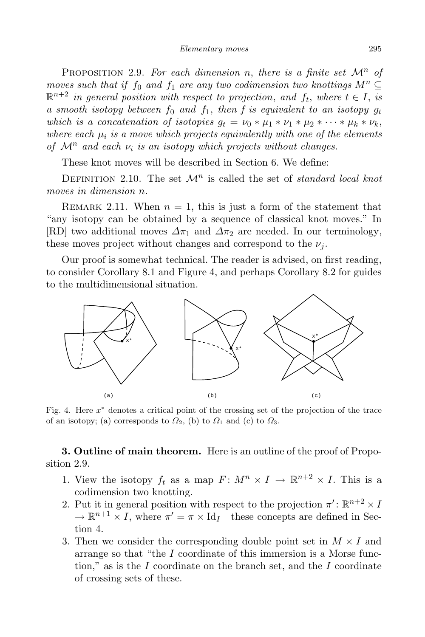PROPOSITION 2.9. For each dimension n, there is a finite set  $\mathcal{M}^n$  of moves such that if  $f_0$  and  $f_1$  are any two codimension two knottings  $M^n \subseteq$  $\mathbb{R}^{n+2}$  in general position with respect to projection, and  $f_t$ , where  $t \in I$ , is a smooth isotopy between  $f_0$  and  $f_1$ , then f is equivalent to an isotopy  $g_t$ which is a concatenation of isotopies  $g_t = \nu_0 * \mu_1 * \nu_1 * \mu_2 * \cdots * \mu_k * \nu_k$ , where each  $\mu_i$  is a move which projects equivalently with one of the elements of  $\mathcal{M}^n$  and each  $\nu_i$  is an isotopy which projects without changes.

These knot moves will be described in Section 6. We define:

DEFINITION 2.10. The set  $\mathcal{M}^n$  is called the set of *standard local knot* moves in dimension n.

REMARK 2.11. When  $n = 1$ , this is just a form of the statement that "any isotopy can be obtained by a sequence of classical knot moves." In [RD] two additional moves  $\Delta \pi_1$  and  $\Delta \pi_2$  are needed. In our terminology, these moves project without changes and correspond to the  $\nu_i$ .

Our proof is somewhat technical. The reader is advised, on first reading, to consider Corollary 8.1 and Figure 4, and perhaps Corollary 8.2 for guides to the multidimensional situation.



Fig. 4. Here x <sup>∗</sup> denotes a critical point of the crossing set of the projection of the trace of an isotopy; (a) corresponds to  $\Omega_2$ , (b) to  $\Omega_1$  and (c) to  $\Omega_3$ .

3. Outline of main theorem. Here is an outline of the proof of Proposition 2.9.

- 1. View the isotopy  $f_t$  as a map  $F: M^n \times I \to \mathbb{R}^{n+2} \times I$ . This is a codimension two knotting.
- 2. Put it in general position with respect to the projection  $\pi' : \mathbb{R}^{n+2} \times I$  $\rightarrow \mathbb{R}^{n+1} \times I$ , where  $\pi' = \pi \times \text{Id}_I$ —these concepts are defined in Section 4.
- 3. Then we consider the corresponding double point set in  $M \times I$  and arrange so that "the I coordinate of this immersion is a Morse function," as is the  $I$  coordinate on the branch set, and the  $I$  coordinate of crossing sets of these.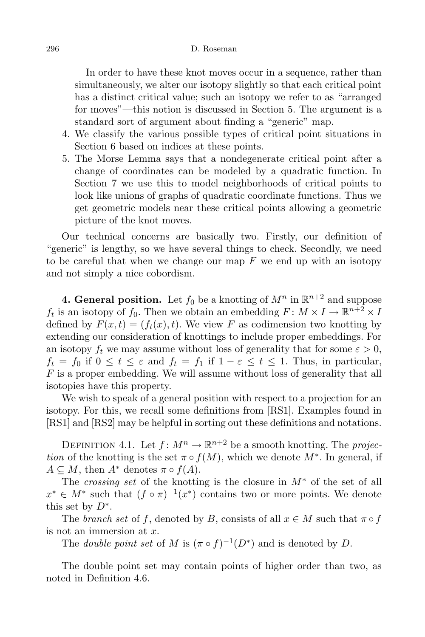In order to have these knot moves occur in a sequence, rather than simultaneously, we alter our isotopy slightly so that each critical point has a distinct critical value; such an isotopy we refer to as "arranged for moves"—this notion is discussed in Section 5. The argument is a standard sort of argument about finding a "generic" map.

- 4. We classify the various possible types of critical point situations in Section 6 based on indices at these points.
- 5. The Morse Lemma says that a nondegenerate critical point after a change of coordinates can be modeled by a quadratic function. In Section 7 we use this to model neighborhoods of critical points to look like unions of graphs of quadratic coordinate functions. Thus we get geometric models near these critical points allowing a geometric picture of the knot moves.

Our technical concerns are basically two. Firstly, our definition of "generic" is lengthy, so we have several things to check. Secondly, we need to be careful that when we change our map  $F$  we end up with an isotopy and not simply a nice cobordism.

**4. General position.** Let  $f_0$  be a knotting of  $M^n$  in  $\mathbb{R}^{n+2}$  and suppose  $f_t$  is an isotopy of  $f_0$ . Then we obtain an embedding  $F: M \times I \to \mathbb{R}^{n+2} \times I$ defined by  $F(x,t) = (f_t(x),t)$ . We view F as codimension two knotting by extending our consideration of knottings to include proper embeddings. For an isotopy  $f_t$  we may assume without loss of generality that for some  $\varepsilon > 0$ ,  $f_t = f_0$  if  $0 \le t \le \varepsilon$  and  $f_t = f_1$  if  $1 - \varepsilon \le t \le 1$ . Thus, in particular, F is a proper embedding. We will assume without loss of generality that all isotopies have this property.

We wish to speak of a general position with respect to a projection for an isotopy. For this, we recall some definitions from [RS1]. Examples found in [RS1] and [RS2] may be helpful in sorting out these definitions and notations.

DEFINITION 4.1. Let  $f: M^n \to \mathbb{R}^{n+2}$  be a smooth knotting. The *projec*tion of the knotting is the set  $\pi \circ f(M)$ , which we denote  $M^*$ . In general, if  $A \subseteq M$ , then  $A^*$  denotes  $\pi \circ f(A)$ .

The crossing set of the knotting is the closure in  $M^*$  of the set of all  $x^* \in M^*$  such that  $(f \circ \pi)^{-1}(x^*)$  contains two or more points. We denote this set by  $D^*$ .

The branch set of f, denoted by B, consists of all  $x \in M$  such that  $\pi \circ f$ is not an immersion at  $x$ .

The *double point set* of M is  $(\pi \circ f)^{-1}(D^*)$  and is denoted by D.

The double point set may contain points of higher order than two, as noted in Definition 4.6.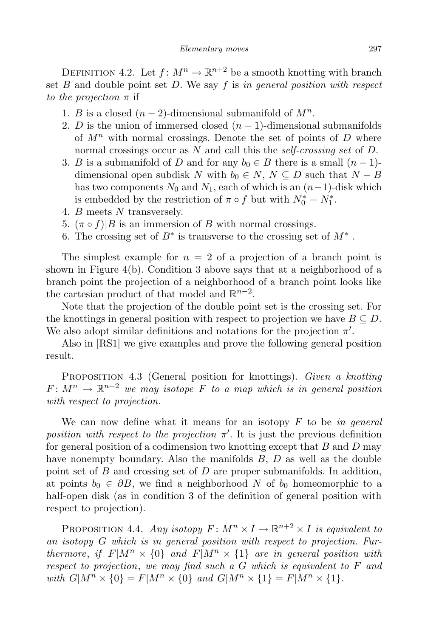DEFINITION 4.2. Let  $f: M^n \to \mathbb{R}^{n+2}$  be a smooth knotting with branch set  $B$  and double point set  $D$ . We say  $f$  is in general position with respect to the projection  $\pi$  if

- 1. B is a closed  $(n-2)$ -dimensional submanifold of  $M^n$ .
- 2. D is the union of immersed closed  $(n-1)$ -dimensional submanifolds of  $M^n$  with normal crossings. Denote the set of points of D where normal crossings occur as N and call this the *self-crossing set* of D.
- 3. B is a submanifold of D and for any  $b_0 \in B$  there is a small  $(n-1)$ dimensional open subdisk N with  $b_0 \in N$ ,  $N \subseteq D$  such that  $N - B$ has two components  $N_0$  and  $N_1$ , each of which is an  $(n-1)$ -disk which is embedded by the restriction of  $\pi \circ f$  but with  $N_0^* = N_1^*$ .
- 4. B meets N transversely.
- 5.  $(\pi \circ f)|B$  is an immersion of B with normal crossings.
- 6. The crossing set of  $B^*$  is transverse to the crossing set of  $M^*$ .

The simplest example for  $n = 2$  of a projection of a branch point is shown in Figure 4(b). Condition 3 above says that at a neighborhood of a branch point the projection of a neighborhood of a branch point looks like the cartesian product of that model and  $\mathbb{R}^{n-2}$ .

Note that the projection of the double point set is the crossing set. For the knottings in general position with respect to projection we have  $B \subseteq D$ . We also adopt similar definitions and notations for the projection  $\pi'$ .

Also in [RS1] we give examples and prove the following general position result.

PROPOSITION 4.3 (General position for knottings). Given a knotting  $F\colon M^n\to\mathbb{R}^{n+2}$  we may isotope F to a map which is in general position with respect to projection.

We can now define what it means for an isotopy  $F$  to be in general position with respect to the projection  $\pi'$ . It is just the previous definition for general position of a codimension two knotting except that  $B$  and  $D$  may have nonempty boundary. Also the manifolds B, D as well as the double point set of  $B$  and crossing set of  $D$  are proper submanifolds. In addition, at points  $b_0 \in \partial B$ , we find a neighborhood N of  $b_0$  homeomorphic to a half-open disk (as in condition 3 of the definition of general position with respect to projection).

PROPOSITION 4.4. Any isotopy  $F: M^n \times I \to \mathbb{R}^{n+2} \times I$  is equivalent to an isotopy G which is in general position with respect to projection. Furthermore, if  $F|M^n \times \{0\}$  and  $F|M^n \times \{1\}$  are in general position with respect to projection, we may find such a G which is equivalent to F and with  $G|M^n \times \{0\} = F|M^n \times \{0\}$  and  $G|M^n \times \{1\} = F|M^n \times \{1\}$ .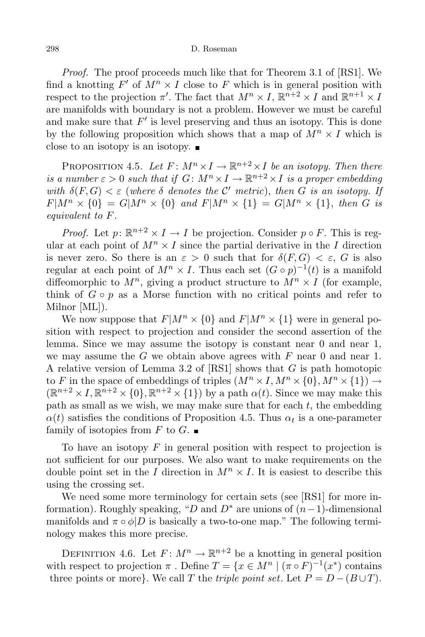Proof. The proof proceeds much like that for Theorem 3.1 of [RS1]. We find a knotting  $F'$  of  $M^n \times I$  close to F which is in general position with respect to the projection  $\pi'$ . The fact that  $M^n \times I$ ,  $\mathbb{R}^{n+2} \times I$  and  $\mathbb{R}^{n+1} \times I$ are manifolds with boundary is not a problem. However we must be careful and make sure that  $F'$  is level preserving and thus an isotopy. This is done by the following proposition which shows that a map of  $M^n \times I$  which is close to an isotopy is an isotopy.

PROPOSITION 4.5. Let  $F: M^n \times I \to \mathbb{R}^{n+2} \times I$  be an isotopy. Then there is a number  $\varepsilon > 0$  such that if  $G \colon M^n \times I \to \mathbb{R}^{n+2} \times I$  is a proper embedding with  $\delta(F,G) < \varepsilon$  (where  $\delta$  denotes the C' metric), then G is an isotopy. If  $F|M^n \times \{0\} = G|M^n \times \{0\}$  and  $F|M^n \times \{1\} = G|M^n \times \{1\}$ , then G is equivalent to F.

*Proof.* Let  $p: \mathbb{R}^{n+2} \times I \to I$  be projection. Consider  $p \circ F$ . This is regular at each point of  $M^n \times I$  since the partial derivative in the I direction is never zero. So there is an  $\varepsilon > 0$  such that for  $\delta(F, G) < \varepsilon$ , G is also regular at each point of  $M^n \times I$ . Thus each set  $(G \circ p)^{-1}(t)$  is a manifold diffeomorphic to  $M^n$ , giving a product structure to  $M^n \times I$  (for example, think of  $G \circ p$  as a Morse function with no critical points and refer to Milnor [ML]).

We now suppose that  $F|M^n \times \{0\}$  and  $F|M^n \times \{1\}$  were in general position with respect to projection and consider the second assertion of the lemma. Since we may assume the isotopy is constant near 0 and near 1, we may assume the  $G$  we obtain above agrees with  $F$  near  $0$  and near  $1$ . A relative version of Lemma 3.2 of  $[RS1]$  shows that G is path homotopic to F in the space of embeddings of triples  $(M^n \times I, M^n \times \{0\}, M^n \times \{1\}) \rightarrow$  $(\mathbb{R}^{n+2} \times I, \mathbb{R}^{n+2} \times \{0\}, \mathbb{R}^{n+2} \times \{1\})$  by a path  $\alpha(t)$ . Since we may make this path as small as we wish, we may make sure that for each  $t$ , the embedding  $\alpha(t)$  satisfies the conditions of Proposition 4.5. Thus  $\alpha_t$  is a one-parameter family of isotopies from F to G.

To have an isotopy  $F$  in general position with respect to projection is not sufficient for our purposes. We also want to make requirements on the double point set in the I direction in  $M^n \times I$ . It is easiest to describe this using the crossing set.

We need some more terminology for certain sets (see [RS1] for more information). Roughly speaking, "D and  $D^*$  are unions of  $(n-1)$ -dimensional manifolds and  $\pi \circ \phi | D$  is basically a two-to-one map." The following terminology makes this more precise.

DEFINITION 4.6. Let  $F: M^n \to \mathbb{R}^{n+2}$  be a knotting in general position with respect to projection  $\pi$ . Define  $T = \{x \in M^n \mid (\pi \circ F)^{-1}(x^*) \text{ contains }$ three points or more}. We call T the *triple point set*. Let  $P = D - (B \cup T)$ .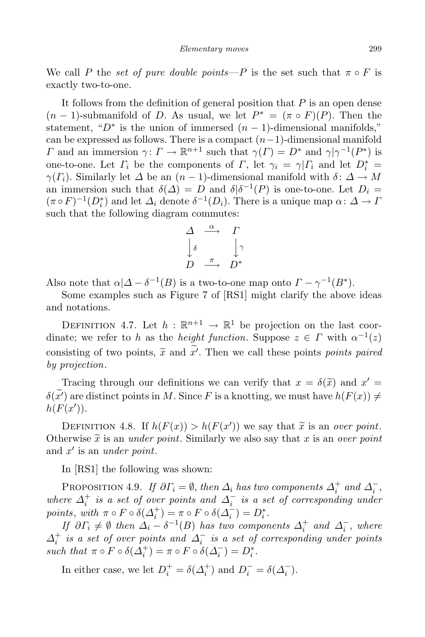We call P the set of pure double points—P is the set such that  $\pi \circ F$  is exactly two-to-one.

It follows from the definition of general position that  $P$  is an open dense  $(n-1)$ -submanifold of D. As usual, we let  $P^* = (\pi \circ F)(P)$ . Then the statement, " $D^*$  is the union of immersed  $(n-1)$ -dimensional manifolds," can be expressed as follows. There is a compact  $(n-1)$ -dimensional manifold  $Γ$  and an immersion  $γ: Γ → ℝ<sup>n+1</sup>$  such that  $γ(Γ) = D^*$  and  $γ|γ^{-1}(P^*)$  is one-to-one. Let  $\Gamma_i$  be the components of  $\Gamma$ , let  $\gamma_i = \gamma |\Gamma_i$  and let  $D_i^* = \Gamma_i$  $\gamma(\Gamma_i)$ . Similarly let  $\Delta$  be an  $(n-1)$ -dimensional manifold with  $\delta: \Delta \to M$ an immersion such that  $\delta(\Delta) = D$  and  $\delta[\delta^{-1}(P)]$  is one-to-one. Let  $D_i =$  $(\pi \circ F)^{-1}(D_i^*)$  and let  $\Delta_i$  denote  $\delta^{-1}(D_i)$ . There is a unique map  $\alpha: \Delta \to I$ such that the following diagram commutes:

$$
\begin{array}{ccc}\n\Delta & \stackrel{\alpha}{\longrightarrow} & \Gamma \\
\downarrow^{\delta} & & \downarrow^{\gamma} \\
D & \stackrel{\pi}{\longrightarrow} & D^* \\
\end{array}
$$

Also note that  $\alpha | \Delta - \delta^{-1}(B)$  is a two-to-one map onto  $\Gamma - \gamma^{-1}(B^*)$ .

Some examples such as Figure 7 of [RS1] might clarify the above ideas and notations.

DEFINITION 4.7. Let  $h : \mathbb{R}^{n+1} \to \mathbb{R}^1$  be projection on the last coordinate; we refer to h as the height function. Suppose  $z \in \Gamma$  with  $\alpha^{-1}(z)$ consisting of two points,  $\tilde{x}$  and  $x'$ . Then we call these points points paired<br>by musicides by projection.

Tracing through our definitions we can verify that  $x = \delta(\tilde{x})$  and  $x' =$  $\delta(\widetilde{x})$  are distinct points in M. Since F is a knotting, we must have  $h(F(x)) \neq$  $h(F(x'))$ .

DEFINITION 4.8. If  $h(F(x)) > h(F(x'))$  we say that  $\tilde{x}$  is an over point. Otherwise  $\tilde{x}$  is an *under point*. Similarly we also say that x is an *over point* and  $x'$  is an under point.

In [RS1] the following was shown:

PROPOSITION 4.9. If  $\partial \Gamma_i = \emptyset$ , then  $\Delta_i$  has two components  $\Delta_i^+$  and  $\Delta_i^-$ , where  $\Delta_i^+$  is a set of over points and  $\Delta_i^-$  is a set of corresponding under points, with  $\pi \circ F \circ \delta(\Delta_i^+) = \pi \circ F \circ \delta(\Delta_i^-) = D_i^*.$ 

If  $\partial \Gamma_i \neq \emptyset$  then  $\Delta_i - \delta^{-1}(B)$  has two components  $\Delta_i^+$  and  $\Delta_i^-$ , where  $\Delta^+_i$  is a set of over points and  $\Delta^-_i$  is a set of corresponding under points such that  $\pi \circ F \circ \delta(\Delta_i^+) = \pi \circ F \circ \delta(\Delta_i^-) = D_i^*.$ 

In either case, we let  $D_i^+ = \delta(\Delta_i^+)$  and  $D_i^- = \delta(\Delta_i^-)$ .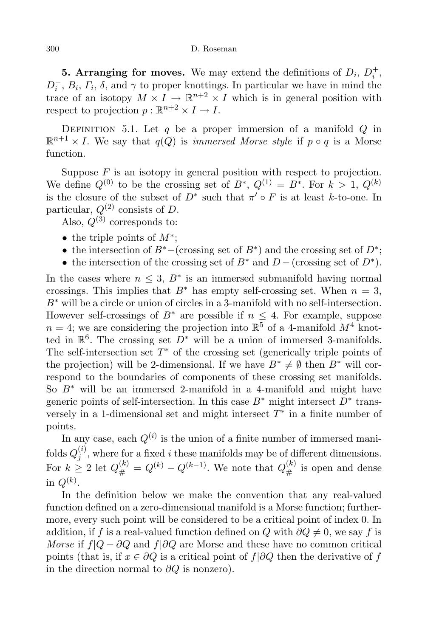**5. Arranging for moves.** We may extend the definitions of  $D_i$ ,  $D_i^+$ ,  $D_i^-, B_i, \Gamma_i, \delta$ , and  $\gamma$  to proper knottings. In particular we have in mind the trace of an isotopy  $M \times I \to \mathbb{R}^{n+2} \times I$  which is in general position with respect to projection  $p : \mathbb{R}^{n+2} \times I \to I$ .

DEFINITION 5.1. Let q be a proper immersion of a manifold  $Q$  in  $\mathbb{R}^{n+1} \times I$ . We say that  $q(Q)$  is *immersed Morse style* if  $p \circ q$  is a Morse function.

Suppose  $F$  is an isotopy in general position with respect to projection. We define  $Q^{(0)}$  to be the crossing set of  $B^*, Q^{(1)} = B^*$ . For  $k > 1, Q^{(k)}$ is the closure of the subset of  $D^*$  such that  $\pi' \circ F$  is at least k-to-one. In particular,  $Q^{(2)}$  consists of D.

Also,  $Q^{(3)}$  corresponds to:

- the triple points of  $M^*$ ;
- the intersection of  $B^*$  (crossing set of  $B^*$ ) and the crossing set of  $D^*$ ;
- the intersection of the crossing set of  $B^*$  and  $D-$  (crossing set of  $D^*$ ).

In the cases where  $n \leq 3$ ,  $B^*$  is an immersed submanifold having normal crossings. This implies that  $B^*$  has empty self-crossing set. When  $n = 3$ ,  $B^*$  will be a circle or union of circles in a 3-manifold with no self-intersection. However self-crossings of  $B^*$  are possible if  $n \leq 4$ . For example, suppose  $n = 4$ ; we are considering the projection into  $\mathbb{R}^5$  of a 4-manifold  $M^4$  knotted in  $\mathbb{R}^6$ . The crossing set  $D^*$  will be a union of immersed 3-manifolds. The self-intersection set  $T^*$  of the crossing set (generically triple points of the projection) will be 2-dimensional. If we have  $B^* \neq \emptyset$  then  $B^*$  will correspond to the boundaries of components of these crossing set manifolds. So  $B^*$  will be an immersed 2-manifold in a 4-manifold and might have generic points of self-intersection. In this case  $B^*$  might intersect  $D^*$  transversely in a 1-dimensional set and might intersect  $T^*$  in a finite number of points.

In any case, each  $Q^{(i)}$  is the union of a finite number of immersed manifolds  $Q_i^{(i)}$  $j^{(i)}$ , where for a fixed *i* these manifolds may be of different dimensions. For  $k \geq 2$  let  $Q_{\#}^{(k)} = Q^{(k)} - Q^{(k-1)}$ . We note that  $Q_{\#}^{(k)}$  is open and dense in  $Q^{(k)}$ .

In the definition below we make the convention that any real-valued function defined on a zero-dimensional manifold is a Morse function; furthermore, every such point will be considered to be a critical point of index 0. In addition, if f is a real-valued function defined on Q with  $\partial Q \neq 0$ , we say f is Morse if  $f|Q - \partial Q$  and  $f|\partial Q$  are Morse and these have no common critical points (that is, if  $x \in \partial Q$  is a critical point of  $f | \partial Q$  then the derivative of f in the direction normal to  $\partial Q$  is nonzero).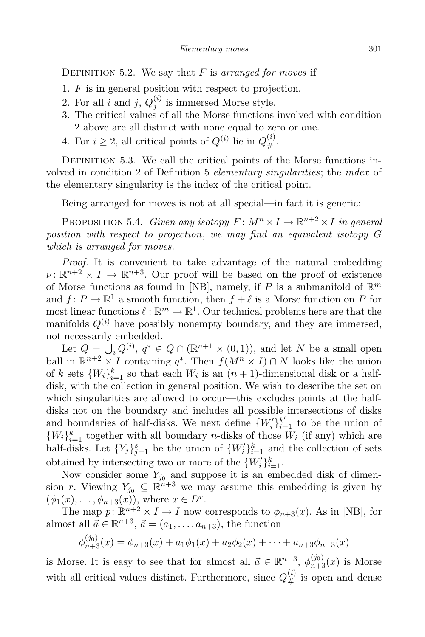DEFINITION 5.2. We say that  $F$  is arranged for moves if

- 1. F is in general position with respect to projection.
- 2. For all i and j,  $Q_i^{(i)}$  $j_j^{(i)}$  is immersed Morse style.
- 3. The critical values of all the Morse functions involved with condition 2 above are all distinct with none equal to zero or one.
- 4. For  $i \geq 2$ , all critical points of  $Q^{(i)}$  lie in  $Q^{(i)}_{\#}$  $\overset{\leftarrow}{\#}$ .

DEFINITION 5.3. We call the critical points of the Morse functions involved in condition 2 of Definition 5 elementary singularities; the index of the elementary singularity is the index of the critical point.

Being arranged for moves is not at all special—in fact it is generic:

PROPOSITION 5.4. Given any isotopy  $F: M^n \times I \to \mathbb{R}^{n+2} \times I$  in general position with respect to projection, we may find an equivalent isotopy G which is arranged for moves.

Proof. It is convenient to take advantage of the natural embedding  $\nu: \mathbb{R}^{n+2} \times I \to \mathbb{R}^{n+3}$ . Our proof will be based on the proof of existence of Morse functions as found in [NB], namely, if P is a submanifold of  $\mathbb{R}^m$ and  $f: P \to \mathbb{R}^1$  a smooth function, then  $f + \ell$  is a Morse function on P for most linear functions  $\ell : \mathbb{R}^m \to \mathbb{R}^1$ . Our technical problems here are that the manifolds  $Q^{(i)}$  have possibly nonempty boundary, and they are immersed, not necessarily embedded.

Let  $Q = \bigcup_i Q^{(i)}$ ,  $q^* \in Q \cap (\mathbb{R}^{n+1} \times (0,1))$ , and let N be a small open ball in  $\mathbb{R}^{n+2} \times I$  containing  $q^*$ . Then  $f(M^n \times I) \cap N$  looks like the union of k sets  $\{W_i\}_{i=1}^k$  so that each  $W_i$  is an  $(n+1)$ -dimensional disk or a halfdisk, with the collection in general position. We wish to describe the set on which singularities are allowed to occur—this excludes points at the halfdisks not on the boundary and includes all possible intersections of disks and boundaries of half-disks. We next define  $\{W_i'\}_{i=1}^{k'}$  to be the union of  ${W_i}_{i=1}^k$  together with all boundary *n*-disks of those  $W_i$  (if any) which are half-disks. Let  ${Y_j}_{j=1}^s$  be the union of  ${W'_i}_{i=1}^k$  and the collection of sets obtained by intersecting two or more of the  $\{W_i'\}_{i=1}^k$ .

Now consider some  $Y_{j_0}$  and suppose it is an embedded disk of dimension r. Viewing  $Y_{j_0} \subseteq \mathbb{R}^{n+3}$  we may assume this embedding is given by  $(\phi_1(x), \ldots, \phi_{n+3}(x)),$  where  $x \in D^r$ .

The map  $p: \mathbb{R}^{n+2} \times I \to I$  now corresponds to  $\phi_{n+3}(x)$ . As in [NB], for almost all  $\vec{a} \in \mathbb{R}^{n+3}$ ,  $\vec{a} = (a_1, \ldots, a_{n+3})$ , the function

$$
\phi_{n+3}^{(j_0)}(x) = \phi_{n+3}(x) + a_1\phi_1(x) + a_2\phi_2(x) + \cdots + a_{n+3}\phi_{n+3}(x)
$$

is Morse. It is easy to see that for almost all  $\vec{a} \in \mathbb{R}^{n+3}$ ,  $\phi_{n+3}^{(j_0)}(x)$  is Morse with all critical values distinct. Furthermore, since  $Q_{\mu}^{(i)}$  $\stackrel{v}{\#}$  is open and dense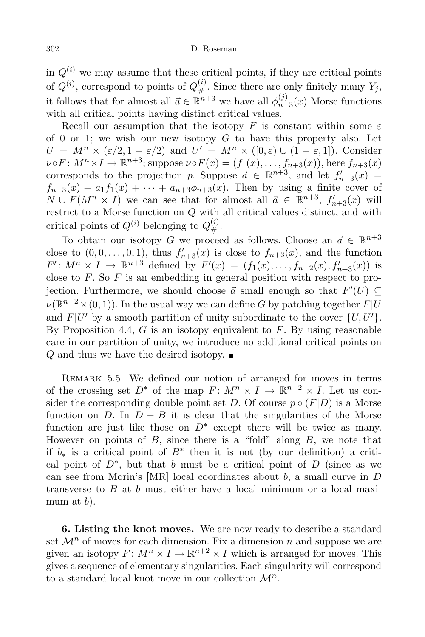in  $Q^{(i)}$  we may assume that these critical points, if they are critical points of  $Q^{(i)}$ , correspond to points of  $Q_{\#}^{(i)}$  $\mathcal{L}_{\#}^{(i)}$ . Since there are only finitely many  $Y_j$ , it follows that for almost all  $\vec{a} \in \mathbb{R}^{n+3}$  we have all  $\phi_{n+3}^{(j)}(x)$  Morse functions with all critical points having distinct critical values.

Recall our assumption that the isotopy F is constant within some  $\varepsilon$ of 0 or 1; we wish our new isotopy  $G$  to have this property also. Let  $U = M^n \times (\varepsilon/2, 1 - \varepsilon/2)$  and  $U' = M^n \times ([0, \varepsilon) \cup (1 - \varepsilon, 1])$ . Consider  $\nu \circ F: M^n \times I \to \mathbb{R}^{n+3}$ ; suppose  $\nu \circ F(x) = (f_1(x), \ldots, f_{n+3}(x))$ , here  $f_{n+3}(x)$ corresponds to the projection p. Suppose  $\vec{a} \in \mathbb{R}^{n+3}$ , and let  $f'_{n+3}(x) =$  $f_{n+3}(x) + a_1f_1(x) + \cdots + a_{n+3}\phi_{n+3}(x)$ . Then by using a finite cover of  $N \cup F(M^n \times I)$  we can see that for almost all  $\vec{a} \in \mathbb{R}^{n+3}$ ,  $f'_{n+3}(x)$  will restrict to a Morse function on Q with all critical values distinct, and with critical points of  $Q^{(i)}$  belonging to  $Q_{\mu}^{(i)}$  $\overset{(\iota)}{\#}$  .

To obtain our isotopy G we proceed as follows. Choose an  $\vec{a} \in \mathbb{R}^{n+3}$ close to  $(0,0,\ldots,0,1)$ , thus  $f'_{n+3}(x)$  is close to  $f_{n+3}(x)$ , and the function  $F' : M^n \times I \to \mathbb{R}^{n+3}$  defined by  $F'(x) = (f_1(x), \ldots, f_{n+2}(x), f'_{n+3}(x))$  is close to  $F$ . So  $F$  is an embedding in general position with respect to projection. Furthermore, we should choose  $\vec{a}$  small enough so that  $F'(U) \subseteq$  $\nu(\mathbb{R}^{n+2}\times(0,1))$ . In the usual way we can define G by patching together  $F|\overline{U}$ and  $F|U'$  by a smooth partition of unity subordinate to the cover  $\{U, U'\}$ . By Proposition 4.4,  $G$  is an isotopy equivalent to  $F$ . By using reasonable care in our partition of unity, we introduce no additional critical points on Q and thus we have the desired isotopy.  $\blacksquare$ 

REMARK 5.5. We defined our notion of arranged for moves in terms of the crossing set  $D^*$  of the map  $F: M^n \times I \to \mathbb{R}^{n+2} \times I$ . Let us consider the corresponding double point set D. Of course  $p \circ (F|D)$  is a Morse function on D. In  $D - B$  it is clear that the singularities of the Morse function are just like those on  $D^*$  except there will be twice as many. However on points of  $B$ , since there is a "fold" along  $B$ , we note that if  $b_*$  is a critical point of  $B^*$  then it is not (by our definition) a critical point of  $D^*$ , but that b must be a critical point of D (since as we can see from Morin's  $[MR]$  local coordinates about b, a small curve in D transverse to  $B$  at  $b$  must either have a local minimum or a local maximum at  $b$ ).

6. Listing the knot moves. We are now ready to describe a standard set  $\mathcal{M}^n$  of moves for each dimension. Fix a dimension n and suppose we are given an isotopy  $F: M^n \times I \to \mathbb{R}^{n+2} \times I$  which is arranged for moves. This gives a sequence of elementary singularities. Each singularity will correspond to a standard local knot move in our collection  $\mathcal{M}^n$ .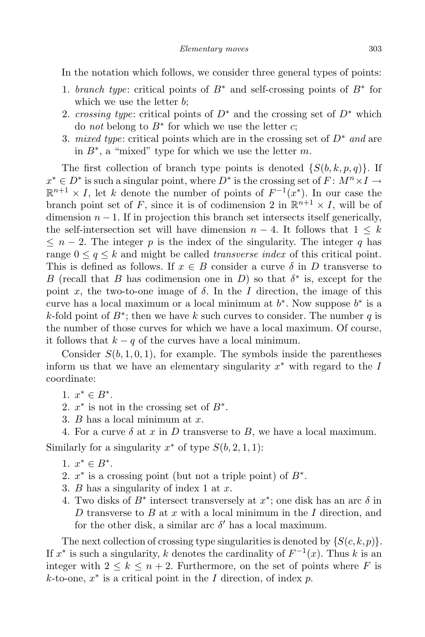In the notation which follows, we consider three general types of points:

- 1. branch type: critical points of  $B^*$  and self-crossing points of  $B^*$  for which we use the letter  $b$ ;
- 2. crossing type: critical points of  $D^*$  and the crossing set of  $D^*$  which do *not* belong to  $B^*$  for which we use the letter  $c$ ;
- 3. mixed type: critical points which are in the crossing set of  $D^*$  and are in  $B^*$ , a "mixed" type for which we use the letter m.

The first collection of branch type points is denoted  $\{S(b, k, p, q)\}\$ . If  $x^* \in D^*$  is such a singular point, where  $D^*$  is the crossing set of  $F: M^n \times I \to \mathbb{R}$  $\mathbb{R}^{n+1} \times I$ , let k denote the number of points of  $F^{-1}(x^*)$ . In our case the branch point set of F, since it is of codimension 2 in  $\mathbb{R}^{n+1} \times I$ , will be of dimension  $n-1$ . If in projection this branch set intersects itself generically, the self-intersection set will have dimension  $n-4$ . It follows that  $1 \leq k$  $\leq n-2$ . The integer p is the index of the singularity. The integer q has range  $0 \leq q \leq k$  and might be called *transverse index* of this critical point. This is defined as follows. If  $x \in B$  consider a curve  $\delta$  in D transverse to B (recall that B has codimension one in D) so that  $\delta^*$  is, except for the point x, the two-to-one image of  $\delta$ . In the I direction, the image of this curve has a local maximum or a local minimum at  $b^*$ . Now suppose  $b^*$  is a k-fold point of  $B^*$ ; then we have k such curves to consider. The number q is the number of those curves for which we have a local maximum. Of course, it follows that  $k - q$  of the curves have a local minimum.

Consider  $S(b, 1, 0, 1)$ , for example. The symbols inside the parentheses inform us that we have an elementary singularity  $x^*$  with regard to the  $I$ coordinate:

- 1.  $x^* \in B^*$ .
- 2.  $x^*$  is not in the crossing set of  $B^*$ .
- 3.  $B$  has a local minimum at  $x$ .
- 4. For a curve  $\delta$  at x in D transverse to B, we have a local maximum.

Similarly for a singularity  $x^*$  of type  $S(b, 2, 1, 1)$ :

- 1.  $x^* \in B^*$ .
- 2.  $x^*$  is a crossing point (but not a triple point) of  $B^*$ .
- 3. B has a singularity of index 1 at  $x$ .
- 4. Two disks of  $B^*$  intersect transversely at  $x^*$ ; one disk has an arc  $\delta$  in D transverse to B at x with a local minimum in the I direction, and for the other disk, a similar arc  $\delta'$  has a local maximum.

The next collection of crossing type singularities is denoted by  $\{S(c,k,p)\}.$ If  $x^*$  is such a singularity, k denotes the cardinality of  $F^{-1}(x)$ . Thus k is an integer with  $2 \leq k \leq n+2$ . Furthermore, on the set of points where F is  $k$ -to-one,  $x^*$  is a critical point in the I direction, of index p.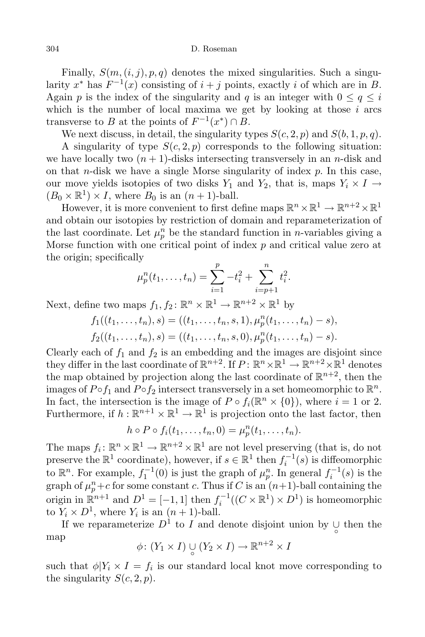Finally,  $S(m, (i, j), p, q)$  denotes the mixed singularities. Such a singularity  $x^*$  has  $F^{-1}(x)$  consisting of  $i + j$  points, exactly i of which are in B. Again p is the index of the singularity and q is an integer with  $0 \le q \le i$ which is the number of local maxima we get by looking at those  $i$  arcs transverse to B at the points of  $F^{-1}(x^*) \cap B$ .

We next discuss, in detail, the singularity types  $S(c, 2, p)$  and  $S(b, 1, p, q)$ . A singularity of type  $S(c, 2, p)$  corresponds to the following situation: we have locally two  $(n + 1)$ -disks intersecting transversely in an *n*-disk and on that *n*-disk we have a single Morse singularity of index  $p$ . In this case, our move yields isotopies of two disks  $Y_1$  and  $Y_2$ , that is, maps  $Y_i \times I \rightarrow$  $(B_0 \times \mathbb{R}^1) \times I$ , where  $B_0$  is an  $(n+1)$ -ball.

However, it is more convenient to first define maps  $\mathbb{R}^n \times \mathbb{R}^1 \to \mathbb{R}^{n+2} \times \mathbb{R}^1$ and obtain our isotopies by restriction of domain and reparameterization of the last coordinate. Let  $\mu_p^n$  be the standard function in *n*-variables giving a Morse function with one critical point of index  $p$  and critical value zero at the origin; specifically

$$
\mu_p^n(t_1,\ldots,t_n) = \sum_{i=1}^p -t_i^2 + \sum_{i=p+1}^n t_i^2.
$$

Next, define two maps  $f_1, f_2 \colon \mathbb{R}^n \times \mathbb{R}^1 \to \mathbb{R}^{n+2} \times \mathbb{R}^1$  by

$$
f_1((t_1,\ldots,t_n),s) = ((t_1,\ldots,t_n,s,1),\mu_p^n(t_1,\ldots,t_n)-s),
$$
  

$$
f_2((t_1,\ldots,t_n),s) = ((t_1,\ldots,t_n,s,0),\mu_p^n(t_1,\ldots,t_n)-s).
$$

Clearly each of  $f_1$  and  $f_2$  is an embedding and the images are disjoint since they differ in the last coordinate of  $\mathbb{R}^{n+2}$ . If  $P \colon \mathbb{R}^n \times \mathbb{R}^1 \to \mathbb{R}^{n+2} \times \mathbb{R}^1$  denotes the map obtained by projection along the last coordinate of  $\mathbb{R}^{n+2}$ , then the images of  $P \circ f_1$  and  $P \circ f_2$  intersect transversely in a set homeomorphic to  $\mathbb{R}^n$ . In fact, the intersection is the image of  $P \circ f_i(\mathbb{R}^n \times \{0\})$ , where  $i = 1$  or 2. Furthermore, if  $h : \mathbb{R}^{n+1} \times \mathbb{R}^1 \to \mathbb{R}^1$  is projection onto the last factor, then

$$
h\circ P\circ f_i(t_1,\ldots,t_n,0)=\mu_p^n(t_1,\ldots,t_n).
$$

The maps  $f_i: \mathbb{R}^n \times \mathbb{R}^1 \to \mathbb{R}^{n+2} \times \mathbb{R}^1$  are not level preserving (that is, do not preserve the  $\mathbb{R}^1$  coordinate), however, if  $s \in \mathbb{R}^1$  then  $f_i^{-1}(s)$  is diffeomorphic to  $\mathbb{R}^n$ . For example,  $f_1^{-1}(0)$  is just the graph of  $\mu_p^n$ . In general  $f_i^{-1}(s)$  is the graph of  $\mu_p^n + c$  for some constant c. Thus if C is an  $(n+1)$ -ball containing the origin in  $\mathbb{R}^{n+1}$  and  $D^1 = [-1, 1]$  then  $f_i^{-1}((C \times \mathbb{R}^1) \times D^1)$  is homeomorphic to  $Y_i \times D^1$ , where  $Y_i$  is an  $(n+1)$ -ball.

If we reparameterize  $D^1$  to I and denote disjoint union by  $\bigcup_{\alpha}$  then the  $^{\circ}$ map

$$
\phi\colon (Y_1\times I)\cup_{\circ}(Y_2\times I)\to\mathbb{R}^{n+2}\times I
$$

such that  $\phi|Y_i \times I = f_i$  is our standard local knot move corresponding to the singularity  $S(c, 2, p)$ .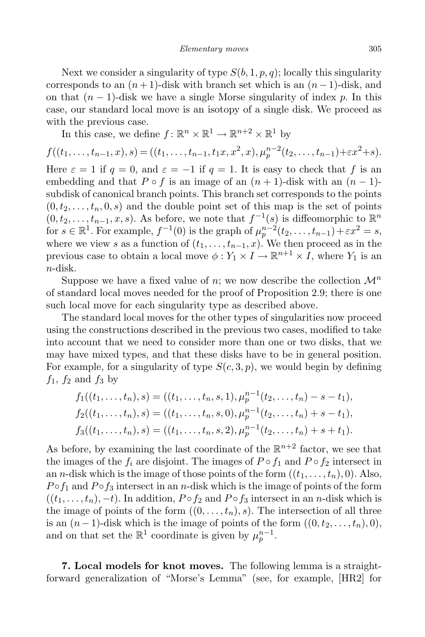Next we consider a singularity of type  $S(b, 1, p, q)$ ; locally this singularity corresponds to an  $(n+1)$ -disk with branch set which is an  $(n-1)$ -disk, and on that  $(n-1)$ -disk we have a single Morse singularity of index p. In this case, our standard local move is an isotopy of a single disk. We proceed as with the previous case.

In this case, we define  $f: \mathbb{R}^n \times \mathbb{R}^1 \to \mathbb{R}^{n+2} \times \mathbb{R}^1$  by

$$
f((t_1,\ldots,t_{n-1},x),s) = ((t_1,\ldots,t_{n-1},t_1x,x^2,x),\mu_p^{n-2}(t_2,\ldots,t_{n-1})+\varepsilon x^2+s).
$$

Here  $\varepsilon = 1$  if  $q = 0$ , and  $\varepsilon = -1$  if  $q = 1$ . It is easy to check that f is an embedding and that  $P \circ f$  is an image of an  $(n + 1)$ -disk with an  $(n - 1)$ subdisk of canonical branch points. This branch set corresponds to the points  $(0,t_2,\ldots,t_n,0,s)$  and the double point set of this map is the set of points  $(0, t_2, \ldots, t_{n-1}, x, s)$ . As before, we note that  $f^{-1}(s)$  is diffeomorphic to  $\mathbb{R}^n$ for  $s \in \mathbb{R}^1$ . For example,  $f^{-1}(0)$  is the graph of  $\mu_p^{n-2}(t_2, \ldots, t_{n-1}) + \varepsilon x^2 = s$ , where we view s as a function of  $(t_1, \ldots, t_{n-1}, x)$ . We then proceed as in the previous case to obtain a local move  $\phi: Y_1 \times I \to \mathbb{R}^{n+1} \times I$ , where  $Y_1$  is an n-disk.

Suppose we have a fixed value of n; we now describe the collection  $\mathcal{M}^n$ of standard local moves needed for the proof of Proposition 2.9; there is one such local move for each singularity type as described above.

The standard local moves for the other types of singularities now proceed using the constructions described in the previous two cases, modified to take into account that we need to consider more than one or two disks, that we may have mixed types, and that these disks have to be in general position. For example, for a singularity of type  $S(c, 3, p)$ , we would begin by defining  $f_1$ ,  $f_2$  and  $f_3$  by

$$
f_1((t_1,\ldots,t_n),s) = ((t_1,\ldots,t_n,s,1),\mu_p^{n-1}(t_2,\ldots,t_n)-s-t_1),
$$
  
\n
$$
f_2((t_1,\ldots,t_n),s) = ((t_1,\ldots,t_n,s,0),\mu_p^{n-1}(t_2,\ldots,t_n)+s-t_1),
$$
  
\n
$$
f_3((t_1,\ldots,t_n),s) = ((t_1,\ldots,t_n,s,2),\mu_p^{n-1}(t_2,\ldots,t_n)+s+t_1).
$$

As before, by examining the last coordinate of the  $\mathbb{R}^{n+2}$  factor, we see that the images of the  $f_i$  are disjoint. The images of  $P \circ f_1$  and  $P \circ f_2$  intersect in an *n*-disk which is the image of those points of the form  $((t_1, \ldots, t_n), 0)$ . Also,  $P \circ f_1$  and  $P \circ f_3$  intersect in an *n*-disk which is the image of points of the form  $((t_1, \ldots, t_n), -t)$ . In addition,  $P \circ f_2$  and  $P \circ f_3$  intersect in an n-disk which is the image of points of the form  $((0, \ldots, t_n), s)$ . The intersection of all three is an  $(n-1)$ -disk which is the image of points of the form  $((0, t_2, \ldots, t_n), 0)$ , and on that set the  $\mathbb{R}^1$  coordinate is given by  $\mu_p^{n-1}$ .

7. Local models for knot moves. The following lemma is a straightforward generalization of "Morse's Lemma" (see, for example, [HR2] for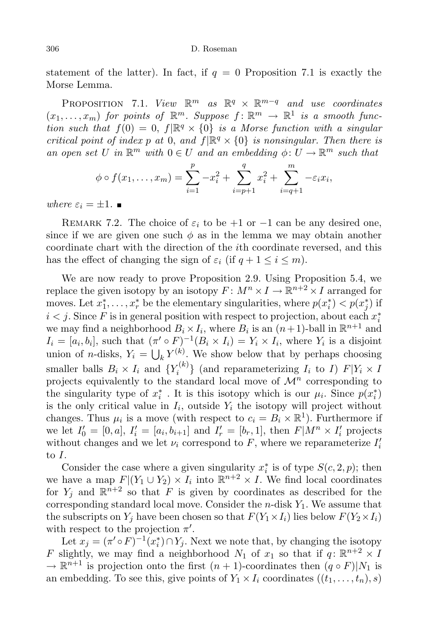statement of the latter). In fact, if  $q = 0$  Proposition 7.1 is exactly the Morse Lemma.

PROPOSITION 7.1. View  $\mathbb{R}^m$  as  $\mathbb{R}^q \times \mathbb{R}^{m-q}$  and use coordinates  $(x_1, \ldots, x_m)$  for points of  $\mathbb{R}^m$ . Suppose  $f: \mathbb{R}^m \to \mathbb{R}^1$  is a smooth function such that  $f(0) = 0$ ,  $f[\mathbb{R}^q \times \{0\}]$  is a Morse function with a singular critical point of index p at 0, and  $f|\mathbb{R}^q \times \{0\}$  is nonsingular. Then there is an open set U in  $\mathbb{R}^m$  with  $0 \in U$  and an embedding  $\phi: U \to \mathbb{R}^m$  such that

$$
\phi \circ f(x_1, \dots, x_m) = \sum_{i=1}^p -x_i^2 + \sum_{i=p+1}^q x_i^2 + \sum_{i=q+1}^m -\varepsilon_i x_i,
$$

where  $\varepsilon_i = \pm 1$ .

REMARK 7.2. The choice of  $\varepsilon_i$  to be +1 or -1 can be any desired one, since if we are given one such  $\phi$  as in the lemma we may obtain another coordinate chart with the direction of the ith coordinate reversed, and this has the effect of changing the sign of  $\varepsilon_i$  (if  $q + 1 \leq i \leq m$ ).

We are now ready to prove Proposition 2.9. Using Proposition 5.4, we replace the given isotopy by an isotopy  $F: M^n \times I \to \mathbb{R}^{n+2} \times I$  arranged for moves. Let  $x_1^*, \ldots, x_r^*$  be the elementary singularities, where  $p(x_i^*) < p(x_j^*)$  if  $i < j$ . Since F is in general position with respect to projection, about each  $x_i^*$ we may find a neighborhood  $B_i \times I_i$ , where  $B_i$  is an  $(n+1)$ -ball in  $\mathbb{R}^{n+1}$  and  $I_i = [a_i, b_i],$  such that  $(\pi' \circ F)^{-1}(B_i \times I_i) = Y_i \times I_i$ , where  $Y_i$  is a disjoint union of *n*-disks,  $Y_i = \bigcup_k Y^{(k)}$ . We show below that by perhaps choosing smaller balls  $B_i \times I_i$  and  $\{Y_i^{(k)}\}$  $\{X_i^{(k)}\}$  (and reparameterizing  $I_i$  to I)  $F|Y_i \times I$ projects equivalently to the standard local move of  $\mathcal{M}^n$  corresponding to the singularity type of  $x_i^*$ . It is this isotopy which is our  $\mu_i$ . Since  $p(x_i^*)$ is the only critical value in  $I_i$ , outside  $Y_i$  the isotopy will project without changes. Thus  $\mu_i$  is a move (with respect to  $c_i = B_i \times \mathbb{R}^1$ ). Furthermore if we let  $I'_0 = [0, a], I'_i = [a_i, b_{i+1}]$  and  $I'_r = [b_r, 1],$  then  $F|M^n \times I'_i$  projects without changes and we let  $\nu_i$  correspond to F, where we reparameterize  $I_i'$ to I.

Consider the case where a given singularity  $x_i^*$  is of type  $S(c, 2, p)$ ; then we have a map  $F|(Y_1 \cup Y_2) \times I_i$  into  $\mathbb{R}^{n+2} \times I$ . We find local coordinates for  $Y_j$  and  $\mathbb{R}^{n+2}$  so that F is given by coordinates as described for the corresponding standard local move. Consider the  $n$ -disk  $Y_1$ . We assume that the subscripts on  $Y_i$  have been chosen so that  $F(Y_1 \times I_i)$  lies below  $F(Y_2 \times I_i)$ with respect to the projection  $\pi'$ .

Let  $x_j = (\pi' \circ F)^{-1}(x_i^*) \cap Y_j$ . Next we note that, by changing the isotopy F slightly, we may find a neighborhood  $N_1$  of  $x_1$  so that if  $q: \mathbb{R}^{n+2} \times I$  $\rightarrow \mathbb{R}^{n+1}$  is projection onto the first  $(n+1)$ -coordinates then  $(q \circ F)|N_1$  is an embedding. To see this, give points of  $Y_1 \times I_i$  coordinates  $((t_1, \ldots, t_n), s)$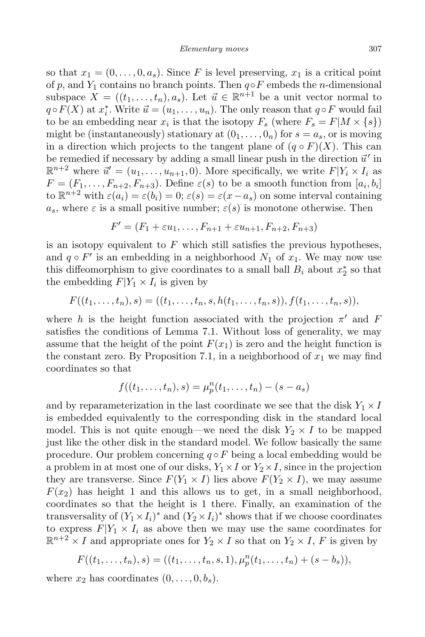so that  $x_1 = (0, \ldots, 0, a_s)$ . Since F is level preserving,  $x_1$  is a critical point of p, and  $Y_1$  contains no branch points. Then  $q \circ F$  embeds the n-dimensional subspace  $X = ((t_1, \ldots, t_n), a_s)$ . Let  $\vec{u} \in \mathbb{R}^{n+1}$  be a unit vector normal to  $q \circ F(X)$  at  $x_i^*$ . Write  $\vec{u} = (u_1, \ldots, u_n)$ . The only reason that  $q \circ F$  would fail to be an embedding near  $x_i$  is that the isotopy  $F_s$  (where  $F_s = F|M \times \{s\})$ might be (instantaneously) stationary at  $(0_1, \ldots, 0_n)$  for  $s = a_s$ , or is moving in a direction which projects to the tangent plane of  $(q \circ F)(X)$ . This can be remedied if necessary by adding a small linear push in the direction  $\vec{u}'$  in  $\mathbb{R}^{n+2}$  where  $\vec{u}' = (u_1, \ldots, u_{n+1}, 0)$ . More specifically, we write  $F|Y_i \times I_i$  as  $F = (F_1, \ldots, F_{n+2}, F_{n+3})$ . Define  $\varepsilon(s)$  to be a smooth function from  $[a_i, b_i]$ to  $\mathbb{R}^{n+2}$  with  $\varepsilon(a_i) = \varepsilon(b_i) = 0$ ;  $\varepsilon(s) = \varepsilon(x-a_s)$  on some interval containing  $a_s$ , where  $\varepsilon$  is a small positive number;  $\varepsilon(s)$  is monotone otherwise. Then

$$
F'=(F_1+\varepsilon u_1,\ldots,F_{n+1}+\varepsilon u_{n+1},F_{n+2},F_{n+3})
$$

is an isotopy equivalent to  $F$  which still satisfies the previous hypotheses, and  $q \circ F'$  is an embedding in a neighborhood  $N_1$  of  $x_1$ . We may now use this diffeomorphism to give coordinates to a small ball  $B_i$  about  $x_2^*$  so that the embedding  $F|Y_1 \times I_i$  is given by

$$
F((t_1,\ldots,t_n),s) = ((t_1,\ldots,t_n,s,h(t_1,\ldots,t_n,s)),f(t_1,\ldots,t_n,s)),
$$

where h is the height function associated with the projection  $\pi'$  and F satisfies the conditions of Lemma 7.1. Without loss of generality, we may assume that the height of the point  $F(x_1)$  is zero and the height function is the constant zero. By Proposition 7.1, in a neighborhood of  $x_1$  we may find coordinates so that

$$
f((t_1,\ldots,t_n),s) = \mu_p^n(t_1,\ldots,t_n) - (s - a_s)
$$

and by reparameterization in the last coordinate we see that the disk  $Y_1 \times I$ is embedded equivalently to the corresponding disk in the standard local model. This is not quite enough—we need the disk  $Y_2 \times I$  to be mapped just like the other disk in the standard model. We follow basically the same procedure. Our problem concerning  $q \circ F$  being a local embedding would be a problem in at most one of our disks,  $Y_1 \times I$  or  $Y_2 \times I$ , since in the projection they are transverse. Since  $F(Y_1 \times I)$  lies above  $F(Y_2 \times I)$ , we may assume  $F(x_2)$  has height 1 and this allows us to get, in a small neighborhood, coordinates so that the height is 1 there. Finally, an examination of the transversality of  $(Y_1 \times I_i)^*$  and  $(Y_2 \times I_i)^*$  shows that if we choose coordinates to express  $F|Y_1 \times I_i$  as above then we may use the same coordinates for  $\mathbb{R}^{n+2} \times I$  and appropriate ones for  $Y_2 \times I$  so that on  $Y_2 \times I$ , F is given by

$$
F((t_1,\ldots,t_n),s) = ((t_1,\ldots,t_n,s,1),\mu_p^n(t_1,\ldots,t_n) + (s-b_s)),
$$

where  $x_2$  has coordinates  $(0, \ldots, 0, b_s)$ .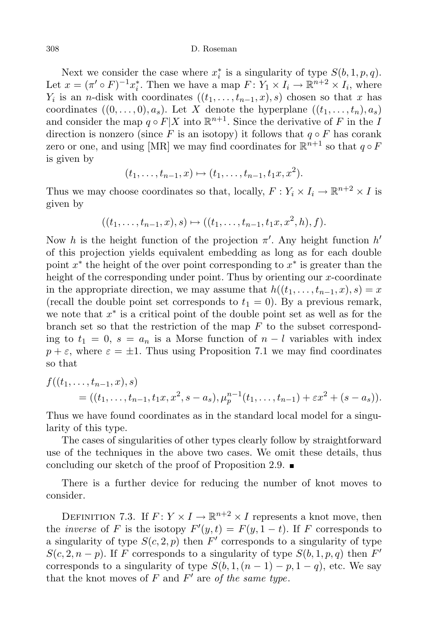Next we consider the case where  $x_i^*$  is a singularity of type  $S(b, 1, p, q)$ . Let  $x = (\pi' \circ F)^{-1} x_i^*$ . Then we have a map  $F: Y_1 \times I_i \to \mathbb{R}^{n+2} \times I_i$ , where  $Y_i$  is an n-disk with coordinates  $((t_1, \ldots, t_{n-1}, x), s)$  chosen so that x has coordinates  $((0,\ldots,0),a_s)$ . Let X denote the hyperplane  $((t_1,\ldots,t_n),a_s)$ and consider the map  $q \circ F|X$  into  $\mathbb{R}^{n+1}$ . Since the derivative of F in the I direction is nonzero (since F is an isotopy) it follows that  $q \circ F$  has corank zero or one, and using [MR] we may find coordinates for  $\mathbb{R}^{n+1}$  so that  $q \circ F$ is given by

$$
(t_1,\ldots,t_{n-1},x)\mapsto (t_1,\ldots,t_{n-1},t_1x,x^2).
$$

Thus we may choose coordinates so that, locally,  $F: Y_i \times I_i \to \mathbb{R}^{n+2} \times I$  is given by

$$
((t_1,\ldots,t_{n-1},x),s)\mapsto((t_1,\ldots,t_{n-1},t_1x,x^2,h),f).
$$

Now h is the height function of the projection  $\pi'$ . Any height function  $h'$ of this projection yields equivalent embedding as long as for each double point  $x^*$  the height of the over point corresponding to  $x^*$  is greater than the height of the corresponding under point. Thus by orienting our x-coordinate in the appropriate direction, we may assume that  $h((t_1, \ldots, t_{n-1}, x), s) = x$ (recall the double point set corresponds to  $t_1 = 0$ ). By a previous remark, we note that  $x^*$  is a critical point of the double point set as well as for the branch set so that the restriction of the map  $F$  to the subset corresponding to  $t_1 = 0$ ,  $s = a_n$  is a Morse function of  $n - l$  variables with index  $p + \varepsilon$ , where  $\varepsilon = \pm 1$ . Thus using Proposition 7.1 we may find coordinates so that

$$
f((t_1,\ldots,t_{n-1},x),s)
$$
  
= ((t\_1,\ldots,t\_{n-1},t\_1x,x^2,s-a\_s),\mu\_p^{n-1}(t\_1,\ldots,t\_{n-1})+\varepsilon x^2+(s-a\_s)).

Thus we have found coordinates as in the standard local model for a singularity of this type.

The cases of singularities of other types clearly follow by straightforward use of the techniques in the above two cases. We omit these details, thus concluding our sketch of the proof of Proposition 2.9.  $\blacksquare$ 

There is a further device for reducing the number of knot moves to consider.

DEFINITION 7.3. If  $F: Y \times I \to \mathbb{R}^{n+2} \times I$  represents a knot move, then the *inverse* of F is the isotopy  $F'(y,t) = F(y, 1-t)$ . If F corresponds to a singularity of type  $S(c, 2, p)$  then  $F'$  corresponds to a singularity of type  $S(c, 2, n-p)$ . If F corresponds to a singularity of type  $S(b, 1, p, q)$  then F' corresponds to a singularity of type  $S(b, 1, (n-1) - p, 1 - q)$ , etc. We say that the knot moves of F and  $F'$  are of the same type.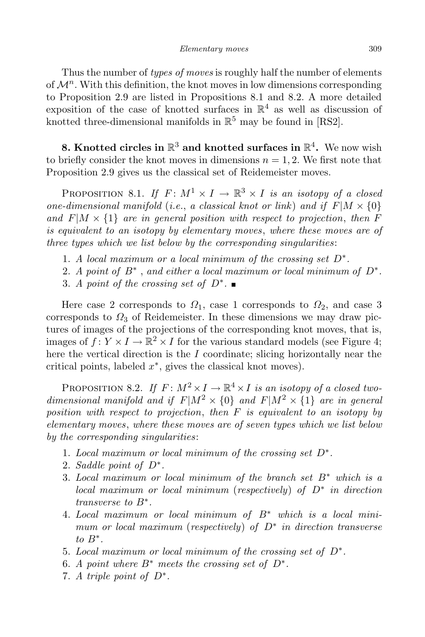Thus the number of *types of moves* is roughly half the number of elements of  $\mathcal{M}^n$ . With this definition, the knot moves in low dimensions corresponding to Proposition 2.9 are listed in Propositions 8.1 and 8.2. A more detailed exposition of the case of knotted surfaces in  $\mathbb{R}^4$  as well as discussion of knotted three-dimensional manifolds in  $\mathbb{R}^5$  may be found in [RS2].

8. Knotted circles in  $\mathbb{R}^3$  and knotted surfaces in  $\mathbb{R}^4$ . We now wish to briefly consider the knot moves in dimensions  $n = 1, 2$ . We first note that Proposition 2.9 gives us the classical set of Reidemeister moves.

PROPOSITION 8.1. If  $F: M^1 \times I \to \mathbb{R}^3 \times I$  is an isotopy of a closed one-dimensional manifold (i.e., a classical knot or link) and if  $F|M \times \{0\}$ and  $F|M \times \{1\}$  are in general position with respect to projection, then F is equivalent to an isotopy by elementary moves, where these moves are of three types which we list below by the corresponding singularities:

- 1. A local maximum or a local minimum of the crossing set  $D^*$ .
- 2. A point of  $B^*$  , and either a local maximum or local minimum of  $D^*$ .
- 3. A point of the crossing set of  $D^*$ .

Here case 2 corresponds to  $\Omega_1$ , case 1 corresponds to  $\Omega_2$ , and case 3 corresponds to  $\Omega_3$  of Reidemeister. In these dimensions we may draw pictures of images of the projections of the corresponding knot moves, that is, images of  $f: Y \times I \to \mathbb{R}^2 \times I$  for the various standard models (see Figure 4; here the vertical direction is the I coordinate; slicing horizontally near the critical points, labeled  $x^*$ , gives the classical knot moves).

PROPOSITION 8.2. If  $F: M^2 \times I \to \mathbb{R}^4 \times I$  is an isotopy of a closed twodimensional manifold and if  $F|M^2 \times \{0\}$  and  $F|M^2 \times \{1\}$  are in general position with respect to projection, then F is equivalent to an isotopy by elementary moves, where these moves are of seven types which we list below by the corresponding singularities:

- 1. Local maximum or local minimum of the crossing set D∗ .
- 2. Saddle point of D∗ .
- 3. Local maximum or local minimum of the branch set  $B^*$  which is a local maximum or local minimum (respectively) of D∗ in direction transverse to B∗ .
- 4. Local maximum or local minimum of B∗ which is a local minimum or local maximum (respectively) of  $D^*$  in direction transverse to  $B^*$ .
- 5. Local maximum or local minimum of the crossing set of D∗ .
- 6. A point where  $B^*$  meets the crossing set of  $D^*$ .
- 7. A triple point of D∗ .